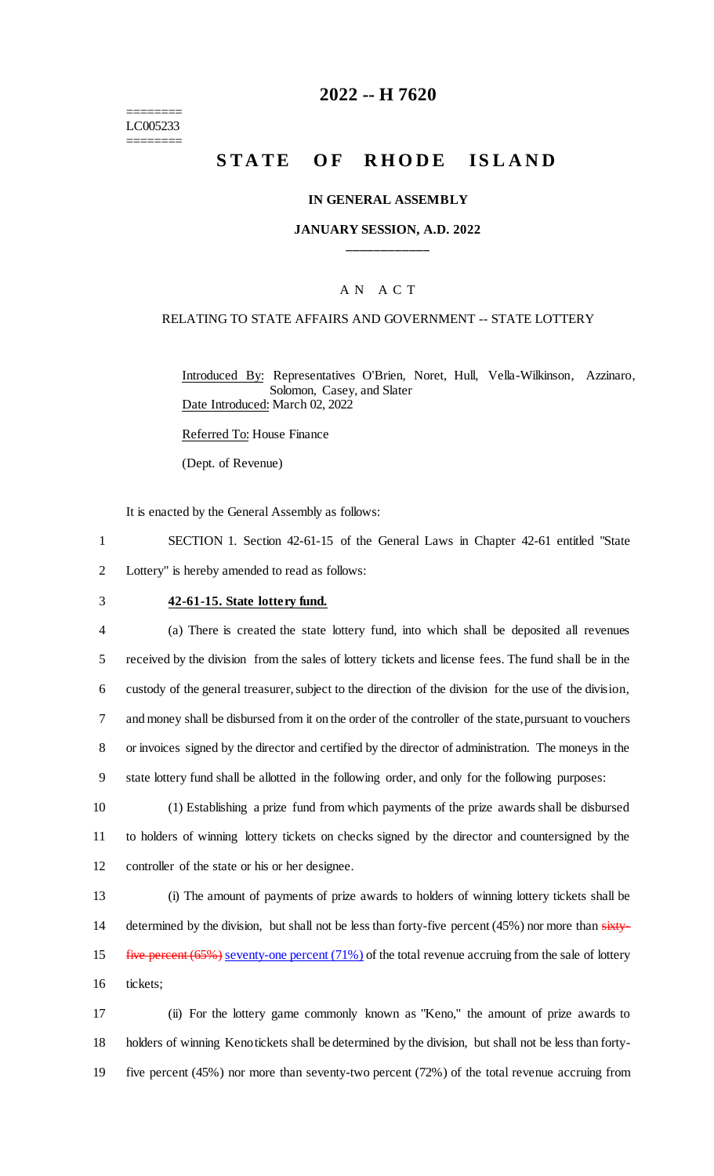======== LC005233 ========

## **2022 -- H 7620**

# **STATE OF RHODE ISLAND**

#### **IN GENERAL ASSEMBLY**

### **JANUARY SESSION, A.D. 2022 \_\_\_\_\_\_\_\_\_\_\_\_**

### A N A C T

#### RELATING TO STATE AFFAIRS AND GOVERNMENT -- STATE LOTTERY

Introduced By: Representatives O'Brien, Noret, Hull, Vella-Wilkinson, Azzinaro, Solomon, Casey, and Slater Date Introduced: March 02, 2022

Referred To: House Finance

(Dept. of Revenue)

It is enacted by the General Assembly as follows:

1 SECTION 1. Section 42-61-15 of the General Laws in Chapter 42-61 entitled "State 2 Lottery" is hereby amended to read as follows:

#### 3 **42-61-15. State lottery fund.**

 (a) There is created the state lottery fund, into which shall be deposited all revenues received by the division from the sales of lottery tickets and license fees. The fund shall be in the custody of the general treasurer, subject to the direction of the division for the use of the division, and money shall be disbursed from it on the order of the controller of the state, pursuant to vouchers or invoices signed by the director and certified by the director of administration. The moneys in the state lottery fund shall be allotted in the following order, and only for the following purposes:

10 (1) Establishing a prize fund from which payments of the prize awards shall be disbursed 11 to holders of winning lottery tickets on checks signed by the director and countersigned by the 12 controller of the state or his or her designee.

13 (i) The amount of payments of prize awards to holders of winning lottery tickets shall be 14 determined by the division, but shall not be less than forty-five percent (45%) nor more than sixty-15 five percent (65%) seventy-one percent (71%) of the total revenue accruing from the sale of lottery 16 tickets;

17 (ii) For the lottery game commonly known as "Keno," the amount of prize awards to 18 holders of winning Keno tickets shall be determined by the division, but shall not be less than forty-19 five percent (45%) nor more than seventy-two percent (72%) of the total revenue accruing from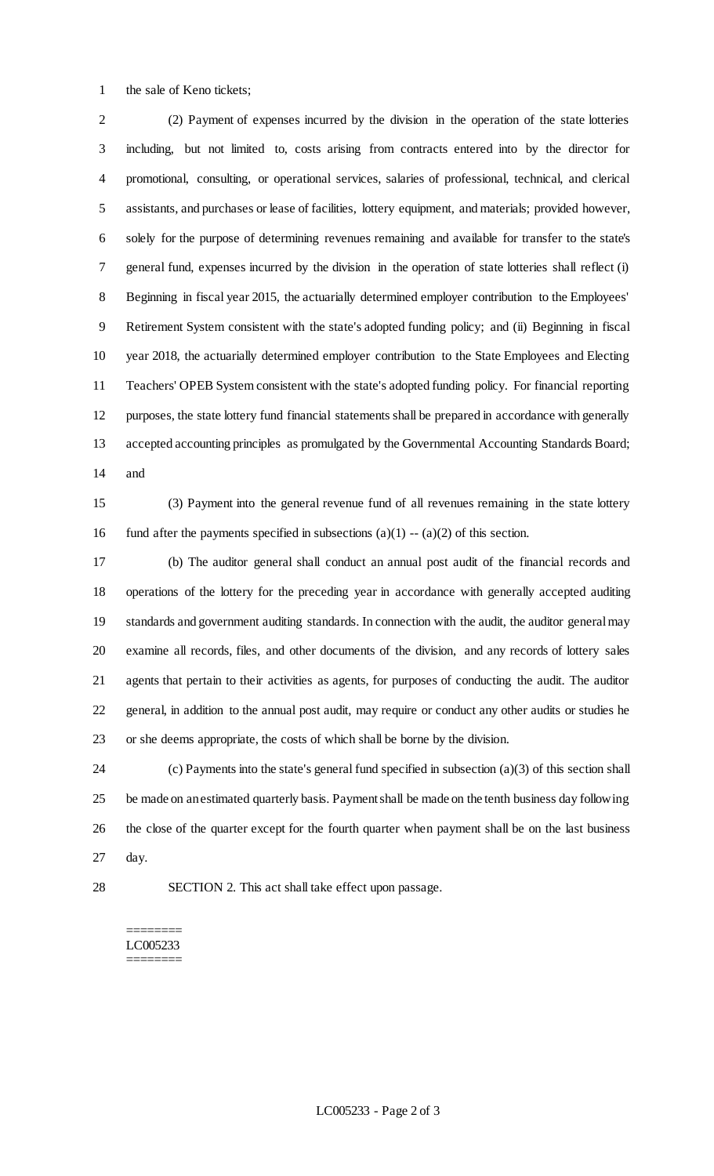the sale of Keno tickets;

 (2) Payment of expenses incurred by the division in the operation of the state lotteries including, but not limited to, costs arising from contracts entered into by the director for promotional, consulting, or operational services, salaries of professional, technical, and clerical assistants, and purchases or lease of facilities, lottery equipment, and materials; provided however, solely for the purpose of determining revenues remaining and available for transfer to the state's general fund, expenses incurred by the division in the operation of state lotteries shall reflect (i) Beginning in fiscal year 2015, the actuarially determined employer contribution to the Employees' Retirement System consistent with the state's adopted funding policy; and (ii) Beginning in fiscal year 2018, the actuarially determined employer contribution to the State Employees and Electing Teachers' OPEB System consistent with the state's adopted funding policy. For financial reporting purposes, the state lottery fund financial statements shall be prepared in accordance with generally accepted accounting principles as promulgated by the Governmental Accounting Standards Board; and

 (3) Payment into the general revenue fund of all revenues remaining in the state lottery 16 fund after the payments specified in subsections (a)(1)  $-$  (a)(2) of this section.

 (b) The auditor general shall conduct an annual post audit of the financial records and operations of the lottery for the preceding year in accordance with generally accepted auditing standards and government auditing standards. In connection with the audit, the auditor general may examine all records, files, and other documents of the division, and any records of lottery sales agents that pertain to their activities as agents, for purposes of conducting the audit. The auditor general, in addition to the annual post audit, may require or conduct any other audits or studies he or she deems appropriate, the costs of which shall be borne by the division.

 (c) Payments into the state's general fund specified in subsection (a)(3) of this section shall be made on an estimated quarterly basis. Payment shall be made on the tenth business day following the close of the quarter except for the fourth quarter when payment shall be on the last business day.

SECTION 2. This act shall take effect upon passage.

#### ======== LC005233 ========